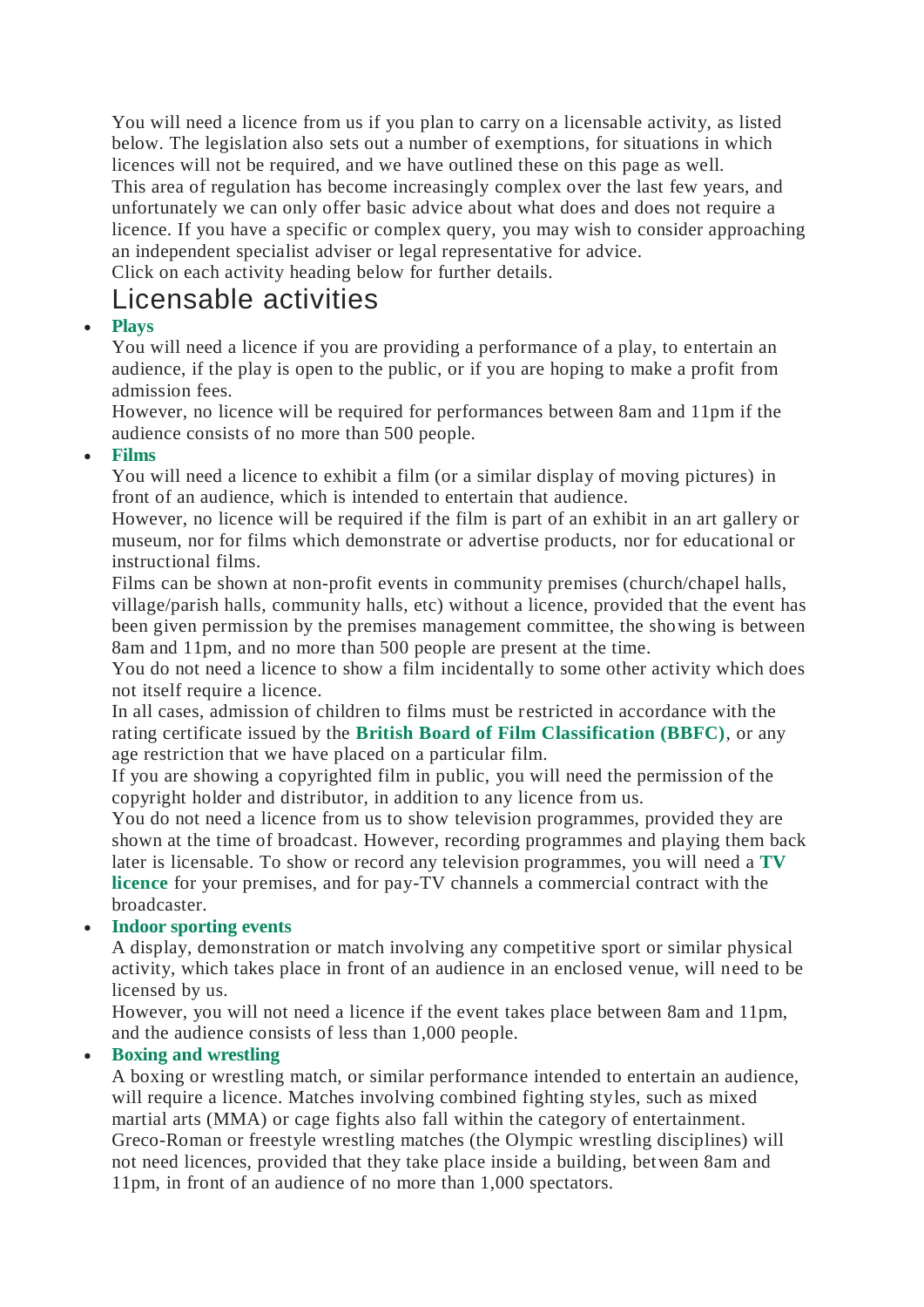You will need a licence from us if you plan to carry on a licensable activity, as listed below. The legislation also sets out a number of exemptions, for situations in which licences will not be required, and we have outlined these on this page as well. This area of regulation has become increasingly complex over the last few years, and unfortunately we can only offer basic advice about what does and does not require a licence. If you have a specific or complex query, you may wish to consider approaching an independent specialist adviser or legal representative for advice. Click on each activity heading below for further details.

# Licensable activities

# **[Plays](http://www.dacorum.gov.uk/home/environment-street-care/licensing/alcohol-entertainment-licensing/licensable-activities#jb7cf8444-5115-6b7f-9bc7-ff00000246a4)**

You will need a licence if you are providing a performance of a play, to entertain an audience, if the play is open to the public, or if you are hoping to make a profit from admission fees.

However, no licence will be required for performances between 8am and 11pm if the audience consists of no more than 500 people.

## **[Films](http://www.dacorum.gov.uk/home/environment-street-care/licensing/alcohol-entertainment-licensing/licensable-activities#jc2cf8444-5115-6b7f-9bc7-ff00000246a4)**

You will need a licence to exhibit a film (or a similar display of moving pictures) in front of an audience, which is intended to entertain that audience.

However, no licence will be required if the film is part of an exhibit in an art gallery or museum, nor for films which demonstrate or advertise products, nor for educational or instructional films.

Films can be shown at non-profit events in community premises (church/chapel halls, village/parish halls, community halls, etc) without a licence, provided that the event has been given permission by the premises management committee, the showing is between 8am and 11pm, and no more than 500 people are present at the time.

You do not need a licence to show a film incidentally to some other activity which does not itself require a licence.

In all cases, admission of children to films must be restricted in accordance with the rating certificate issued by the **[British Board of Film Classification \(BBFC\)](http://www.bbfc.co.uk/)**, or any age restriction that we have placed on a particular film.

If you are showing a copyrighted film in public, you will need the permission of the copyright holder and distributor, in addition to any licence from us.

You do not need a licence from us to show television programmes, provided they are shown at the time of broadcast. However, recording programmes and playing them back later is licensable. To show or record any television programmes, you will need a **[TV](https://www.tvlicensing.co.uk/check-if-you-need-one/business-and-organisations)  [licence](https://www.tvlicensing.co.uk/check-if-you-need-one/business-and-organisations)** for your premises, and for pay-TV channels a commercial contract with the broadcaster.

# **[Indoor sporting events](http://www.dacorum.gov.uk/home/environment-street-care/licensing/alcohol-entertainment-licensing/licensable-activities#jcfcf8444-5115-6b7f-9bc7-ff00000246a4)**

A display, demonstration or match involving any competitive sport or similar physical activity, which takes place in front of an audience in an enclosed venue, will need to be licensed by us.

However, you will not need a licence if the event takes place between 8am and 11pm, and the audience consists of less than 1,000 people.

# **[Boxing and wrestling](http://www.dacorum.gov.uk/home/environment-street-care/licensing/alcohol-entertainment-licensing/licensable-activities#jf4cf8444-5115-6b7f-9bc7-ff00000246a4)**

A boxing or wrestling match, or similar performance intended to entertain an audience, will require a licence. Matches involving combined fighting styles, such as mixed martial arts (MMA) or cage fights also fall within the category of entertainment. Greco-Roman or freestyle wrestling matches (the Olympic wrestling disciplines) will not need licences, provided that they take place inside a building, between 8am and 11pm, in front of an audience of no more than 1,000 spectators.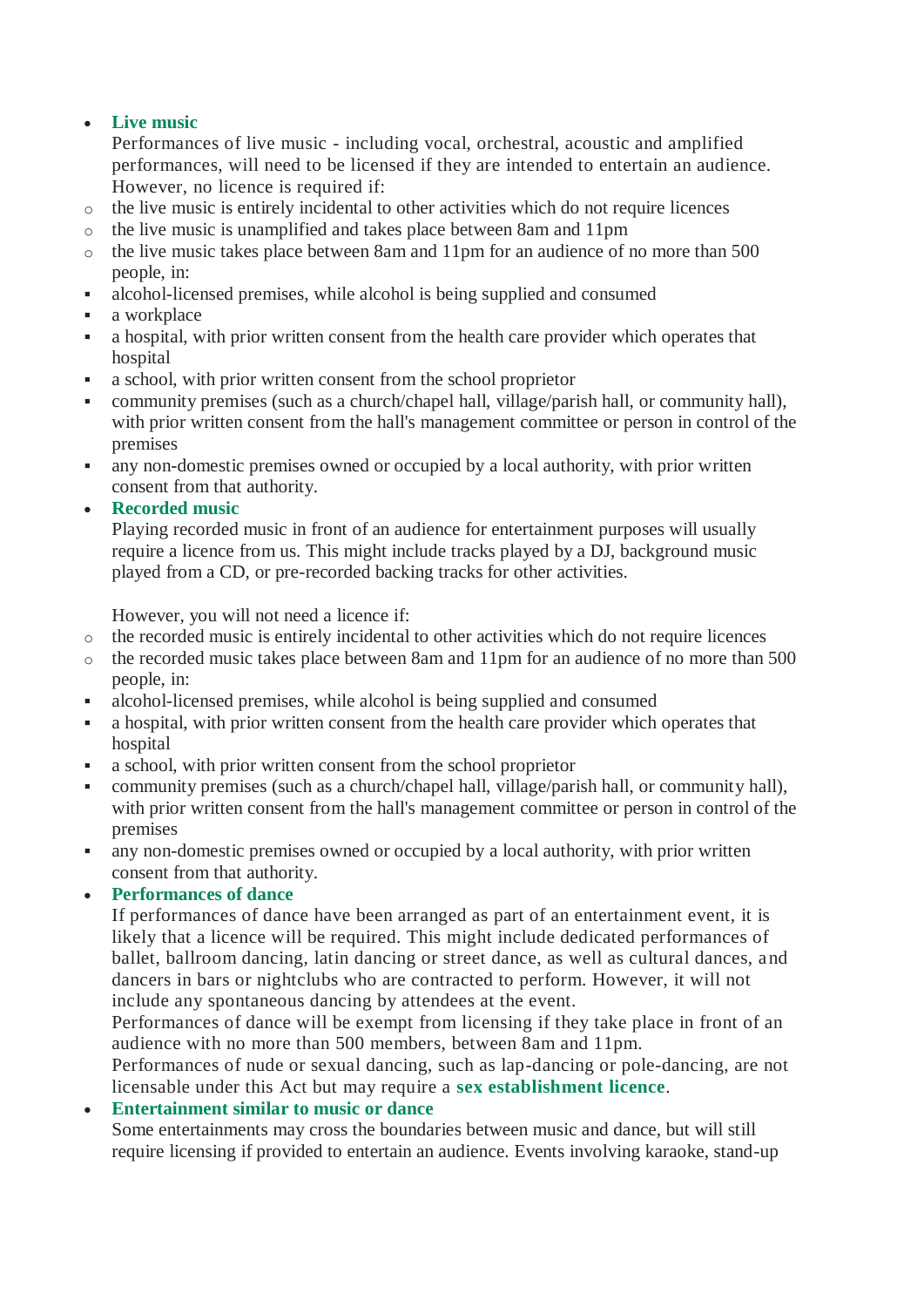### **[Live music](http://www.dacorum.gov.uk/home/environment-street-care/licensing/alcohol-entertainment-licensing/licensable-activities#j1ed08444-5115-6b7f-9bc7-ff00000246a4)**

Performances of live music - including vocal, orchestral, acoustic and amplified performances, will need to be licensed if they are intended to entertain an audience. However, no licence is required if:

- o the live music is entirely incidental to other activities which do not require licences
- o the live music is unamplified and takes place between 8am and 11pm
- o the live music takes place between 8am and 11pm for an audience of no more than 500 people, in:
- alcohol-licensed premises, while alcohol is being supplied and consumed
- **a** workplace
- a hospital, with prior written consent from the health care provider which operates that hospital
- a school, with prior written consent from the school proprietor
- community premises (such as a church/chapel hall, village/parish hall, or community hall), with prior written consent from the hall's management committee or person in control of the premises
- any non-domestic premises owned or occupied by a local authority, with prior written consent from that authority.
- **[Recorded music](http://www.dacorum.gov.uk/home/environment-street-care/licensing/alcohol-entertainment-licensing/licensable-activities#j36d08444-5115-6b7f-9bc7-ff00000246a4)**

Playing recorded music in front of an audience for entertainment purposes will usually require a licence from us. This might include tracks played by a DJ, background music played from a CD, or pre-recorded backing tracks for other activities.

However, you will not need a licence if:

- o the recorded music is entirely incidental to other activities which do not require licences
- o the recorded music takes place between 8am and 11pm for an audience of no more than 500 people, in:
- alcohol-licensed premises, while alcohol is being supplied and consumed
- a hospital, with prior written consent from the health care provider which operates that hospital
- a school, with prior written consent from the school proprietor
- community premises (such as a church/chapel hall, village/parish hall, or community hall), with prior written consent from the hall's management committee or person in control of the premises
- any non-domestic premises owned or occupied by a local authority, with prior written consent from that authority.

### **[Performances of dance](http://www.dacorum.gov.uk/home/environment-street-care/licensing/alcohol-entertainment-licensing/licensable-activities#j52d08444-5115-6b7f-9bc7-ff00000246a4)**

If performances of dance have been arranged as part of an entertainment event, it is likely that a licence will be required. This might include dedicated performances of ballet, ballroom dancing, latin dancing or street dance, as well as cultural dances, and dancers in bars or nightclubs who are contracted to perform. However, it will not include any spontaneous dancing by attendees at the event.

Performances of dance will be exempt from licensing if they take place in front of an audience with no more than 500 members, between 8am and 11pm.

Performances of nude or sexual dancing, such as lap-dancing or pole-dancing, are not licensable under this Act but may require a **[sex establishment licence](http://www.dacorum.gov.uk/home/environment-street-care/licensing/sex-establishment-licences)**.

#### **[Entertainment similar to music or dance](http://www.dacorum.gov.uk/home/environment-street-care/licensing/alcohol-entertainment-licensing/licensable-activities#j8f1c8544-5115-6b7f-9bc7-ff00000246a4)**

Some entertainments may cross the boundaries between music and dance, but will still require licensing if provided to entertain an audience. Events involving karaoke, stand-up